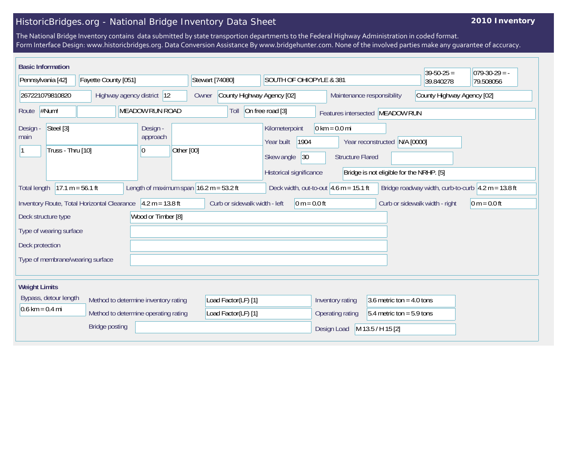## HistoricBridges.org - National Bridge Inventory Data Sheet

## **2010 Inventory**

The National Bridge Inventory contains data submitted by state transportion departments to the Federal Highway Administration in coded format. Form Interface Design: www.historicbridges.org. Data Conversion Assistance By www.bridgehunter.com. None of the involved parties make any guarantee of accuracy.

| <b>Basic Information</b><br>Pennsylvania [42]<br>Fayette County [051]                                                                                                                       |                       | Stewart [74080]<br>SOUTH OF OHIOPYLE & 381 |                                     |                                                                                      |                                                            | $39 - 50 - 25 =$<br>39.840278                                                | $079-30-29 = -$<br>79.508056 |  |
|---------------------------------------------------------------------------------------------------------------------------------------------------------------------------------------------|-----------------------|--------------------------------------------|-------------------------------------|--------------------------------------------------------------------------------------|------------------------------------------------------------|------------------------------------------------------------------------------|------------------------------|--|
| 267221079810820<br>Highway agency district 12                                                                                                                                               |                       |                                            | County Highway Agency [02]<br>Owner |                                                                                      |                                                            | Maintenance responsibility<br>County Highway Agency [02]                     |                              |  |
| #Num!<br><b>MEADOW RUN ROAD</b><br>Route                                                                                                                                                    |                       |                                            | Toll                                | On free road [3]                                                                     | Features intersected MEADOW RUN                            |                                                                              |                              |  |
| Steel [3]<br>Design -<br>main<br>Truss - Thru [10]                                                                                                                                          |                       | Design -<br>approach<br>Other [00]<br> 0   |                                     | Kilometerpoint<br>1904<br>Year built<br> 30<br>Skew angle<br>Historical significance | $0 \text{ km} = 0.0 \text{ mi}$<br><b>Structure Flared</b> | N/A [0000]<br>Year reconstructed<br>Bridge is not eligible for the NRHP. [5] |                              |  |
| $17.1 m = 56.1 ft$<br>Length of maximum span $16.2$ m = 53.2 ft<br>Deck width, out-to-out $4.6$ m = 15.1 ft<br>Bridge roadway width, curb-to-curb $ 4.2 m = 13.8 ft$<br><b>Total length</b> |                       |                                            |                                     |                                                                                      |                                                            |                                                                              |                              |  |
| Inventory Route, Total Horizontal Clearance<br>$4.2 m = 13.8 ft$<br>Curb or sidewalk width - left<br>$0 m = 0.0 ft$<br>$0 m = 0.0 ft$<br>Curb or sidewalk width - right                     |                       |                                            |                                     |                                                                                      |                                                            |                                                                              |                              |  |
| Deck structure type                                                                                                                                                                         | Wood or Timber [8]    |                                            |                                     |                                                                                      |                                                            |                                                                              |                              |  |
| Type of wearing surface                                                                                                                                                                     |                       |                                            |                                     |                                                                                      |                                                            |                                                                              |                              |  |
| Deck protection                                                                                                                                                                             |                       |                                            |                                     |                                                                                      |                                                            |                                                                              |                              |  |
| Type of membrane/wearing surface                                                                                                                                                            |                       |                                            |                                     |                                                                                      |                                                            |                                                                              |                              |  |
| <b>Weight Limits</b>                                                                                                                                                                        |                       |                                            |                                     |                                                                                      |                                                            |                                                                              |                              |  |
| Bypass, detour length<br>Method to determine inventory rating                                                                                                                               |                       | Load Factor(LF) [1]                        |                                     | 3.6 metric ton = $4.0$ tons<br>Inventory rating                                      |                                                            |                                                                              |                              |  |
| $0.6 \text{ km} = 0.4 \text{ mi}$<br>Method to determine operating rating                                                                                                                   |                       | Load Factor(LF) [1]                        |                                     | Operating rating<br>$5.4$ metric ton = 5.9 tons                                      |                                                            |                                                                              |                              |  |
|                                                                                                                                                                                             | <b>Bridge posting</b> |                                            |                                     |                                                                                      | Design Load                                                | M 13.5 / H 15 [2]                                                            |                              |  |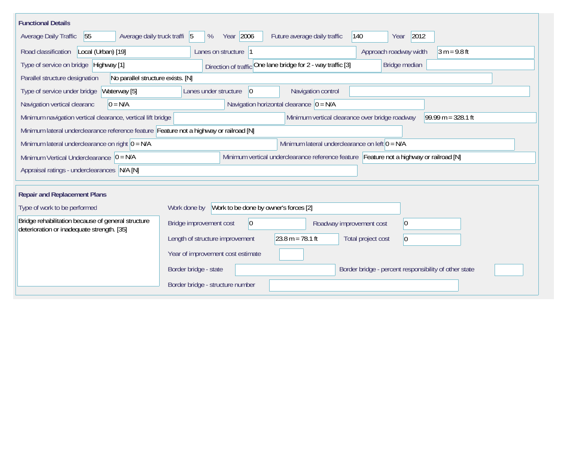| <b>Functional Details</b>                                                                        |                                                                                         |                                                              |                                                       |                      |  |  |  |
|--------------------------------------------------------------------------------------------------|-----------------------------------------------------------------------------------------|--------------------------------------------------------------|-------------------------------------------------------|----------------------|--|--|--|
| Average daily truck traffi 5<br>55<br>Average Daily Traffic                                      | Year 2006<br>%                                                                          | 140<br>Future average daily traffic                          | 2012<br>Year                                          |                      |  |  |  |
| Road classification<br>Local (Urban) [19]                                                        | Lanes on structure 1                                                                    |                                                              | Approach roadway width                                | $3 m = 9.8 ft$       |  |  |  |
| Type of service on bridge Highway [1]                                                            |                                                                                         | Direction of traffic One lane bridge for 2 - way traffic [3] | Bridge median                                         |                      |  |  |  |
| No parallel structure exists. [N]<br>Parallel structure designation                              |                                                                                         |                                                              |                                                       |                      |  |  |  |
| Type of service under bridge<br>Waterway [5]                                                     | Navigation control<br>Lanes under structure<br>$ 0\rangle$                              |                                                              |                                                       |                      |  |  |  |
| Navigation horizontal clearance $ 0 = N/A$<br>$0 = N/A$<br>Navigation vertical clearanc          |                                                                                         |                                                              |                                                       |                      |  |  |  |
| Minimum navigation vertical clearance, vertical lift bridge                                      |                                                                                         | Minimum vertical clearance over bridge roadway               |                                                       | 99.99 m = $328.1$ ft |  |  |  |
| Minimum lateral underclearance reference feature Feature not a highway or railroad [N]           |                                                                                         |                                                              |                                                       |                      |  |  |  |
| Minimum lateral underclearance on right $0 = N/A$                                                | Minimum lateral underclearance on left $0 = N/A$                                        |                                                              |                                                       |                      |  |  |  |
| Minimum Vertical Underclearance $ 0 = N/A$                                                       | Minimum vertical underclearance reference feature Feature not a highway or railroad [N] |                                                              |                                                       |                      |  |  |  |
| Appraisal ratings - underclearances N/A [N]                                                      |                                                                                         |                                                              |                                                       |                      |  |  |  |
|                                                                                                  |                                                                                         |                                                              |                                                       |                      |  |  |  |
| <b>Repair and Replacement Plans</b>                                                              |                                                                                         |                                                              |                                                       |                      |  |  |  |
| Type of work to be performed                                                                     | Work to be done by owner's forces [2]<br>Work done by                                   |                                                              |                                                       |                      |  |  |  |
| Bridge rehabilitation because of general structure<br>deterioration or inadequate strength. [35] | $\overline{0}$<br>Bridge improvement cost<br>Roadway improvement cost                   |                                                              | $ 0\rangle$                                           |                      |  |  |  |
|                                                                                                  | Length of structure improvement                                                         | $23.8 m = 78.1 ft$                                           | Total project cost<br>$ 0\rangle$                     |                      |  |  |  |
|                                                                                                  | Year of improvement cost estimate                                                       |                                                              |                                                       |                      |  |  |  |
|                                                                                                  | Border bridge - state                                                                   |                                                              | Border bridge - percent responsibility of other state |                      |  |  |  |
|                                                                                                  | Border bridge - structure number                                                        |                                                              |                                                       |                      |  |  |  |